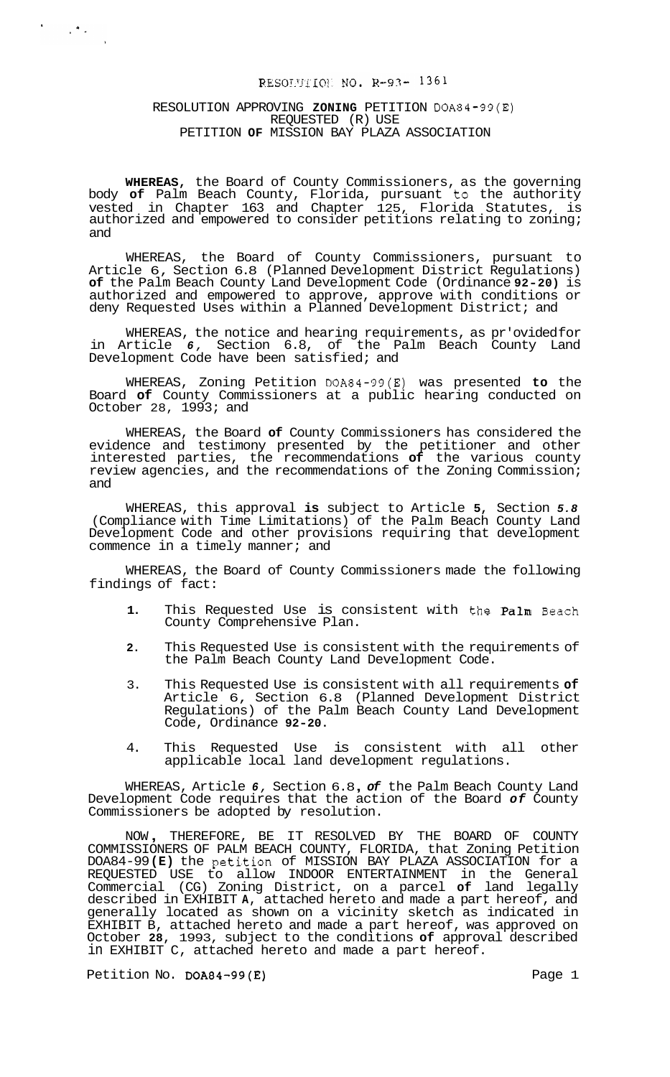# RESOLUTION NO. R-93- 1361

#### RESOLUTION APPROVING **ZONING** PETITION DOA84-99(E) REQUESTED (R) USE PETITION **OF** MISSION BAY PLAZA ASSOCIATION

 $\mathcal{F}^{\mathcal{G}}_{\mathcal{G}}(\mathcal{G})$  ,  $\mathcal{F}^{\mathcal{G}}_{\mathcal{G}}(\mathcal{G})$ 

**WHEREAS,** the Board of County Commissioners, as the governing body **of** Palm Beach County, Florida, pursuant to the authority vested in Chapter 163 and Chapter 125, Florida Statutes, is authorized and empowered to consider petitions relating to zoning; and

WHEREAS, the Board of County Commissioners, pursuant to Article 6, Section 6.8 (Planned Development District Regulations) **of** the Palm Beach County Land Development Code (Ordinance **92-20)** is authorized and empowered to approve, approve with conditions or deny Requested Uses within a Planned Development District; and

WHEREAS, the notice and hearing requirements, as pr'ovided for in Article *6,* Section 6.8, of the Palm Beach County Land Development Code have been satisfied; and

WHEREAS, Zoning Petition DOA84-99(E) was presented **to** the Board **of** County Commissioners at a public hearing conducted on October 28, 1993; and

WHEREAS, the Board **of** County Commissioners has considered the evidence and testimony presented by the petitioner and other interested parties, the recommendations **of** the various county review agencies, and the recommendations of the Zoning Commission; and

WHEREAS, this approval **is** subject to Article **5,** Section *5.8*  (Compliance with Time Limitations) of the Palm Beach County Land Development Code and other provisions requiring that development commence in a timely manner; and

WHEREAS, the Board of County Commissioners made the following findings of fact:

- **1.** This Requested Use is consistent with the Palm Beach County Comprehensive Plan.
- **2.** This Requested Use is consistent with the requirements of the Palm Beach County Land Development Code.
- 3. This Requested Use is consistent with all requirements **of**  Article 6, Section 6.8 (Planned Development District Regulations) of the Palm Beach County Land Development Code, Ordinance **92-20.**
- 4. This Requested Use is consistent with all other applicable local land development regulations.

WHEREAS, Article *6,* Section 6.8 , *of* the Palm Beach County Land Development Code requires that the action of the Board *of* County Commissioners be adopted by resolution.

NOW , THEREFORE, BE IT RESOLVED BY THE BOARD OF COUNTY COMMISSIONERS OF PALM BEACH COUNTY, FLORIDA, that Zoning Petition DOA84-99 **(E)** the peti.tion of MISSION BAY PLAZA ASSOCIATION for a REQUESTED USE to allow INDOOR ENTERTAINMENT in the General Commercial (CG) Zoning District, on a parcel **of** land legally described in EXHIBIT **A,** attached hereto and made a part hereof, and generally located as shown on a vicinity sketch as indicated in EXHIBIT B, attached hereto and made a part hereof, was approved on October **28,** 1993, subject to the conditions **of** approval described in EXHIBIT C, attached hereto and made a part hereof.

Petition No. DOA84-99(E) Petition No. DOA84-99(E)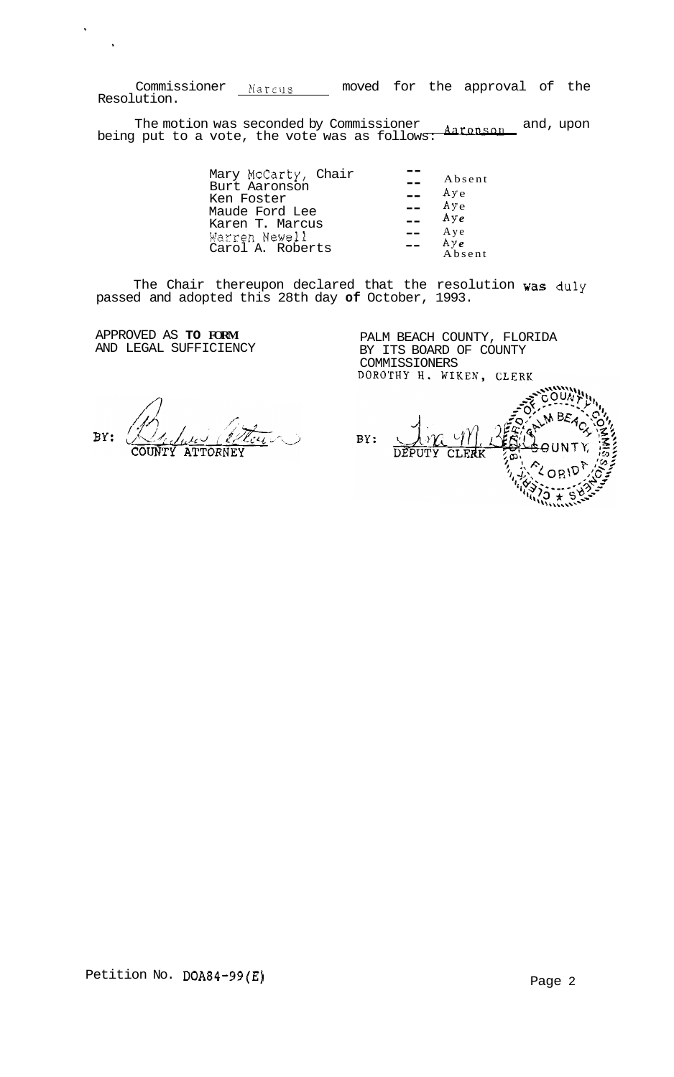Commissioner Marcus moved for the approval of the Resolution.

The motion was seconded by Commissioner Aaronson and, upon being put to a vote, the vote was as follow $\overline{s\colon}$ 

| Mary McCarty, Chair<br>Burt Aaronson<br>Ken Foster<br>Maude Ford Lee<br>Karen T. Marcus<br>Warren Newell<br>Carol A. Roberts | Absent<br>Aye<br>Aye<br>Aye<br>Aye<br>Ay $e$ |
|------------------------------------------------------------------------------------------------------------------------------|----------------------------------------------|
|                                                                                                                              | Absent                                       |

The Chair thereupon declared that the resolution was duly passed and adopted this 28th day **of** October, 1993.

APPROVED AS **TO FORM**  AND LEGAL SUFFICIENCY

 $\hat{\phantom{a}}$ 

PALM BEACH COUNTY, FLORIDA BY ITS BOARD OF COUNTY COMMISSIONERS<br>COMMISSIONERS<br>DOROTHY H. WIKEN, CLERK

BY: بىر COUNTY ATTORNEY

OUN ΒF BY: DEPUTY CLERK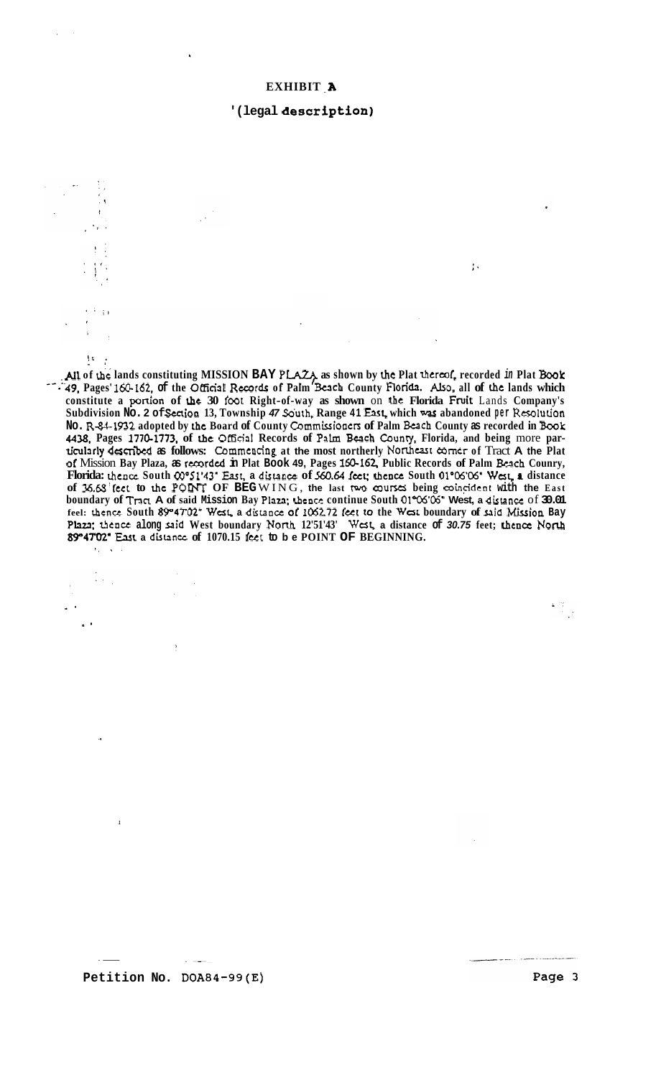### **'(legal description)**

 $\mathcal{F}_A$ 

 $10.4$ 

 $\epsilon$  +  $\epsilon$ 

 $\ddot{\phantom{a}}$ 

.'

. .

 $\mathcal{L}^{\pm}$  .

*1* 

All of the lands constituting MISSION BAY PLAZA as shown by the Plat thereof, recorded in Plat Book *-'--49,* **Pages' 160-162, of the OUicial** Recur& **of Palm** Wch **County Florida.** Also, **all of he lands which constitute a** ponion **of &e 30 foot Right-of-way as shown** on **Lhe Florida Fruit** Lands **Company's Subdivision No. 2 of Senion 13, Township** *47* **Sduth, Range 41 East, which was abandoned per Raolution No. R-W-1932 adopted by the Board of County Commissionen of Palm Beach County as recorded in Book 4438, Pages 1770-1773, of he OIficid Records of PaLm Bach Counry, Florida, and being** more **particul3rly described as follows:** Commencing **at the most northerly** Nonheast corner **of** Tract **A the Plat of** Mission **Bay Plaza, as rccorded in Plat Book 49, Pages 160-162, Public Records of Palm Bach Counry, Florida:** thence **South OO"51'43' East, a disuncc of** *560.64* **feet:** Lhcncc **South Ol"06'06' Wet, P distance of 36.65'fcct to he POW OF BEG** WING, **the last** two **courses being coinddcnt with the East boundary of** Tncl **A of said Mission Bay Plaza; Lhcncc continue South 01006'05' West, a distance** of **30.01 feel: hence South 8P47'02' Was a distaoct** *or 106272* **fer to the** *West* **boundary of said** &ion **Bay**  Plaza; thence along said West boundary North 12'51'43' West, a distance of 30.75 feet; thence North 89°47'02' East a distance of 1070.15 feet to be POINT OF BEGINNING. (, **I** .

 $\sim 25$  $\rightarrow$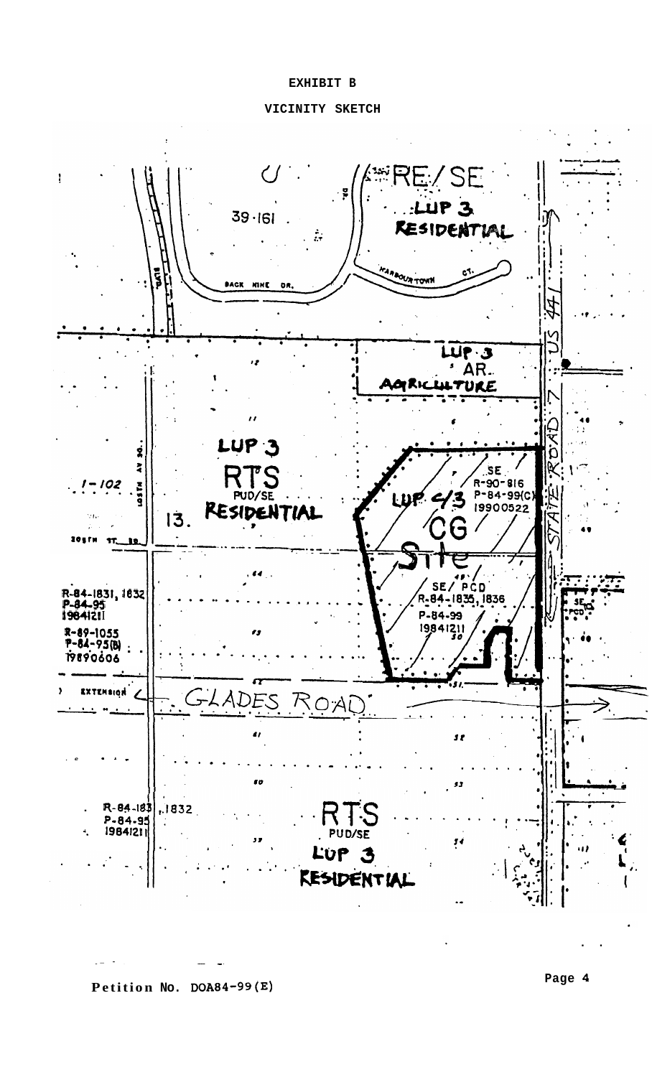### **EXHIBIT B**

# **VICINITY SKETCH**



**Petition No. DOA84-99(E)** 

.- - ~~ ....... - .

**Page 4** 

..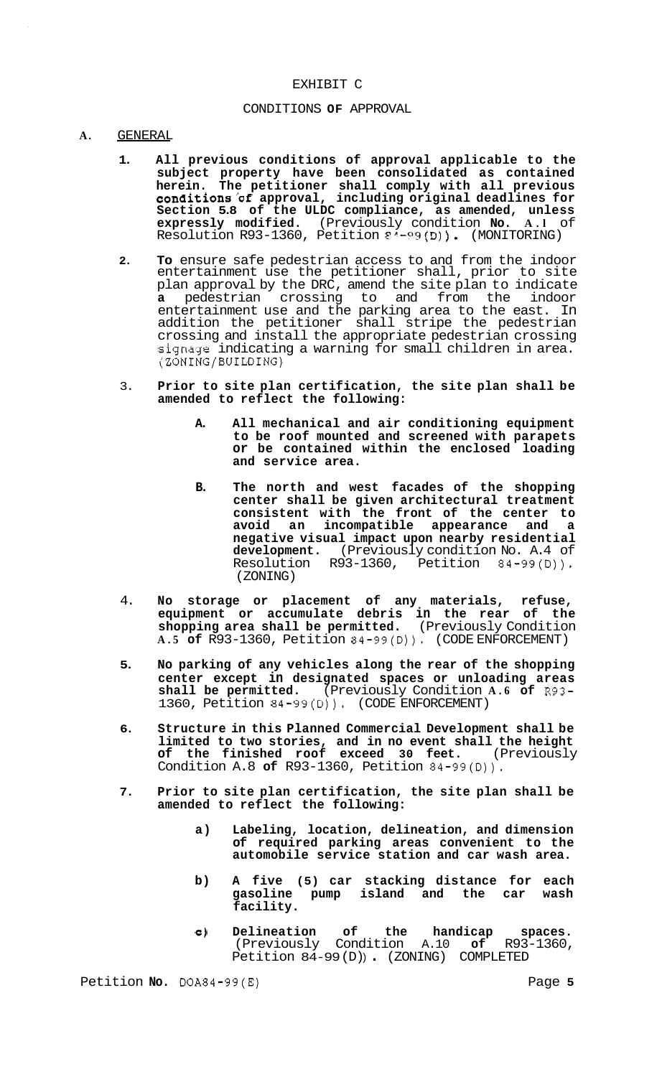### EXHIBIT C

### CONDITIONS **OF** APPROVAL

#### **A.** GENERAL

- **1. All previous conditions of approval applicable to the subject property have been consolidated as contained herein. The petitioner shall comply with all previous conditions'of approval, including original deadlines for Section 5.8 of the ULDC compliance, as amended, unless expressly modified.** (Previously condition **No. A.l** of Resolution R93-1360, Petition ?"-?9(D)). (MONITORING)
- **2. To** ensure safe pedestrian access to and from the indoor entertainment use the petitioner shall, prior to site plan approval by the DRC, amend the site plan to indicate **a** pedestrian crossing to and from the indoor entertainment use and the parking area to the east. In addition the petitioner shall stripe the pedestrian crossing and install the appropriate pedestrian crossing signage indicating a warning for small children in area. (ZONING/BUILDING)
- 3. **Prior to site plan certification, the site plan shall be amended to reflect the following:** 
	- **A. All mechanical and air conditioning equipment to be roof mounted and screened with parapets or be contained within the enclosed loading and service area.**
	- **B. The north and west facades of the shopping center shall be given architectural treatment consistent with the front of the center to avoid an incompatible appearance and a negative visual impact upon nearby residential development.** (Previously condition No. A.4 of Resolution R93-1360, Petition 84-99(D)). (ZONING)
- 4. **NO storage or placement of any materials, refuse, equipment or accumulate debris in the rear of the shopping area shall be permitted.** (Previously Condition **A.5 of** R93-1360, Petition 84-99(D)). (CODE ENFORCEMENT)
- **5. No parking of any vehicles along the rear of the shopping center except in designated spaces or unloading areas shall be permitted.** (Previously Condition **A.6 of** R93- 1360, Petition 84-99(D)). (CODE ENFORCEMENT)
- **6. Structure in this Planned Commercial Development shall be limited to two stories, and in no event shall the height of the finished roof exceed 30 feet.** (Previously Condition A.8 **of** R93-1360, Petition 84-99(D)).
- **7. Prior to site plan certification, the site plan shall be amended to reflect the following:** 
	- **a) Labeling, location, delineation, and dimension of required parking areas convenient to the automobile service station and car wash area.**
	- **b) A five (5) car stacking distance for each gasoline pump island and the car wash facility.**
	- **c) Delineation of the handicap spaces.**  (Previously Condition A.10 **of** R93-1360, Petition 84-99(D)). (ZONING) COMPLETED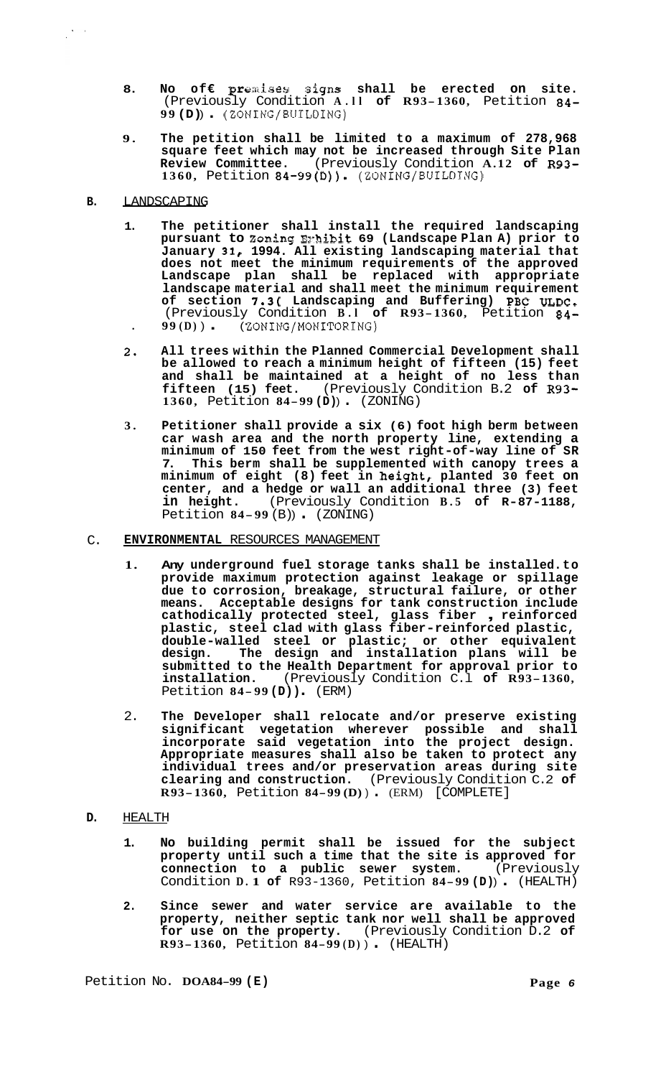- **8. No of€ prexises signs shall be erected on site.**  (Previously Condition **A.ll of R93-1360,** Petition **84- <sup>99</sup>(D)** ) . (ZONING/BUILDING)
- **9. The petition shall be limited to a maximum of 278,968 square feet which may not be increased through Site Plan Review Committee.** (Previously Condition **A.12 of R93- 1360,** Petition **84-99(D)).** (ZONING/BUILDING)
- **B.** LANDSCAPING

 $\frac{1}{2} \sum_{i=1}^n \frac{1}{2} \sum_{j=1}^n \frac{1}{2} \sum_{j=1}^n \frac{1}{2} \sum_{j=1}^n \frac{1}{2} \sum_{j=1}^n \frac{1}{2} \sum_{j=1}^n \frac{1}{2} \sum_{j=1}^n \frac{1}{2} \sum_{j=1}^n \frac{1}{2} \sum_{j=1}^n \frac{1}{2} \sum_{j=1}^n \frac{1}{2} \sum_{j=1}^n \frac{1}{2} \sum_{j=1}^n \frac{1}{2} \sum_{j=1}^n \frac{1}{2} \sum_{j=$ 

- **1. The petitioner shall install the required landscaping pursuant to Zoning Ez-hibit 69 (Landscape Plan A) prior to January 31, 1994. All existing landscaping material that does not meet the minimum requirements of the approved Landscape plan shall be replaced with appropriate landscape material and shall meet the minimum requirement of section 7.3( Landscaping and Buffering) PBC ULDC.**  (Previously Condition **B.l of R93-1360,** Petition **84-**  . **99 (D)** ) . ( ZONING/MONITORING)
- **2. All trees within the Planned Commercial Development shall be allowed to reach a minimum height of fifteen (15) feet and shall be maintained at a height of no less than fifteen (15) feet.** (Previously Condition B.2 **of R93- 1360,** Petition **84-99 (D)** ) . (ZONING)
- **3. Petitioner shall provide a six (6) foot high berm between car wash area and the north property line, extending a minimum of 150 feet from the west right-of-way line of SR 7. This berm shall be supplemented with canopy trees a minimum of eight (8) feet in height, planted 30 feet on center, and a hedge or wall an additional three (3) feet in height.** (Previously Condition **B.5 of R-87-1188,**  Petition **84-99** (B) ) . (ZONING)
- C. **ENVIRONMENTAL** RESOURCES MANAGEMENT
	- **1. Any underground fuel storage tanks shall be installed. to provide maximum protection against leakage or spillage due to corrosion, breakage, structural failure, or other means. Acceptable designs for tank construction include cathodically protected steel, glass fiber** , **reinforced plastic, steel clad with glass fiber-reinforced plastic, double-walled steel or plastic; or other equivalent design. The design and installation plans will be submitted to the Health Department for approval prior to installation.** (Previously Condition C.l **of R93-1360,**  Petition **84- <sup>99</sup>(D))** . (ERM)
	- 2. **The Developer shall relocate and/or preserve existing significant vegetation wherever possible and shall incorporate said vegetation into the project design. Appropriate measures shall also be taken to protect any individual trees and/or preservation areas during site clearing and construction.** (Previously Condition C.2 **of R93-1360,** Petition **84-99 (D)** ) . (ERM) [COMPLETE]
- **D.** HEALTH
	- **1. No building permit shall be issued for the subject property until such a time that the site is approved for connection to a public sewer system.** (Previously Condition **D. 1 of** R93-1360, Petition **84-99 (D)** ) . (HEALTH)
	- **2. Since sewer and water service are available to the property, neither septic tank nor well shall be approved for use on the property.** (Previously Condition D.2 **of R93-1360,** Petition **84-99 (D)** ) . (HEALTH)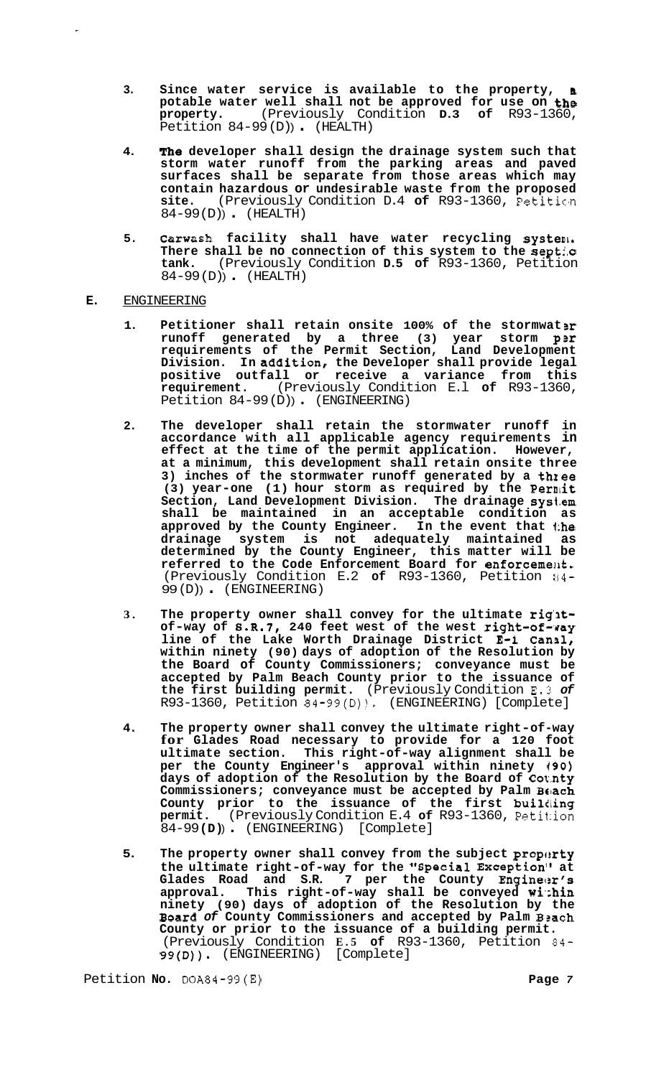- **3. Since water service is available to the property, I potable water well shall not be approved for use on the property.** (Previously Condition **D.3 of** R93-1360, Petition 84-99(D)). (HEALTH)
- **4. The developer shall design the drainage system such that storm water runoff from the parking areas and paved surfaces shall be separate from those areas which may contain hazardous or undesirable waste from the proposed**  site. (Previously Condition D.4 of R93-1360, Petition 84-99(D) (HEALTH)
- **5. carwash facility shall have water recycling systenl. There shall be no connection of this system to the septi.c tank.** (Previously Condition **D.5 of** R93-1360, Petition 84-99 (D) ) . (HEALTH)

# **E.** ENGINEERING

- **1. Petitioner shall retain onsite 100% of the stormwat 31: runoff generated by a three (3) year storm psr requirements of the Permit Section, Land Development Division. In addition, the Developer shall provide legal positive outfall or receive a variance from this requirement.** (Previously Condition E.l **of** R93-1360, Petition 84-99(D)) (ENGINEERING)
- **2. The developer shall retain the stormwater runoff in accordance with all applicable agency requirements in effect at the time of the permit application. However, at a minimum, this development shall retain onsite three 3) inches of the stormwater runoff generated by a thzee**  (3) year-one (1) hour storm as required by the Permit **Section, Land Development Division. The drainage sysl.em shall be maintained in an acceptable condition as approved by the County Engineer. In the event that 1:he drainage system is not adequately maintained as determined by the County Engineer, this matter will be**  referred to the Code Enforcement Board for enforcement. (Previously Condition E.2 of R93-1360, Petition 84-99 (D) ) . (ENGINEERING)
- 3. The property owner shall convey for the ultimate right**of-way of S.R.7, 240 feet west of the west right-of-\*gay line of the Lake Worth Drainage District E-1 Canal, within ninety (90) days of adoption of the Resolution by the Board of County Commissioners; conveyance must be accepted by Palm Beach County prior to the issuance of the first building permit.** (Previously Condition 33.3 *of*  R93-1360, Petition 84-99(D)). (ENGINEERING) [Complete]
- **4. The property owner shall convey the ultimate right-of-way for Glades Road necessary to provide for a 120 foot ultimate section. This right-of-way alignment shall be per the County Engineer's approval within ninety 190) days of adoption of the Resolution by the Board of Cot.nty Commissioners; conveyance must be accepted by Palm BE!ach County prior to the issuance of the first buililing permit.** (Previously Condition E.4 **of** R93-1360, Petitiion 84-99 **(D)** ) . (ENGINEERING) [Complete]
- 5. The property owner shall convey from the subject property **the ultimate right-of-way for the "Special Exception" at**  Glades Road and S.R. 7 per the County **Engine**er's **approval. This right-of-way shall be conveyed wi.:hin ninety (90) days of adoption of the Resolution by the Board** *of* **County Commissioners and accepted by Palm Bsach County or prior to the issuance of a building permit.**  (Previously Condition **E.5 of** R93-1360, Petition 84- **99(D)).** (ENGINEERING) [Complete]

Petition **No.** DOA84-99(E) **Page** *7*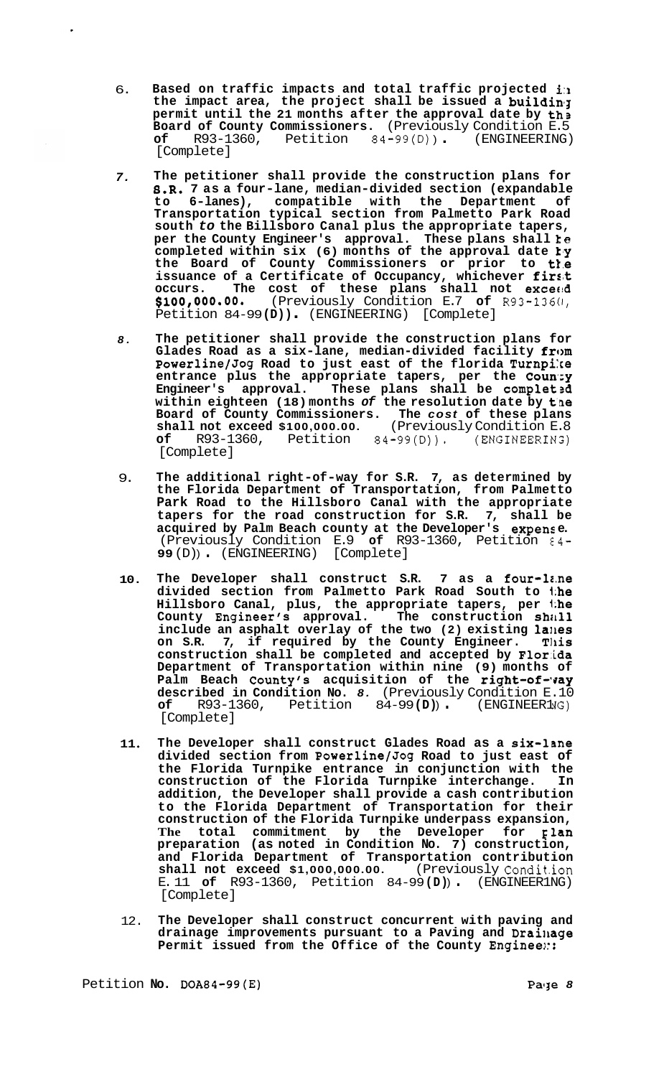- 6. **Based on traffic impacts and total traffic projected i:a the impact area, the project shall be issued a buildin'3 permit until the 21 months after the approval date by th3 Board of County Commissioners.** (Previously Condition E.5 **of** R93-1360, Petition 84-99(D) ) . (ENGINEERING) [Complete]
- *7.*  **The petitioner shall provide the construction plans for 8.R. 7 as a four-lane, median-divided section (expandable to 6-lanes), compatible with the Department of Transportation typical section from Palmetto Park Road south** *to* **the Billsboro Canal plus the appropriate tapers, per the County Engineer's approval. These plans shall te completed within six (6) months of the approval date 1,y the Board of County Commissioners or prior to t1.e issuance of a Certificate of Occupancy, whichever firs8t occurs. The cost of these plans shall not excecld \$100,000.00.** (Previously Condition E.7 **of** R93-1360, Petition 84-99 **(D))** . (ENGINEERING) [Complete]
- *8.*  **The petitioner shall provide the construction plans for**  Glades Road as a six-lane, median-divided facility from **Powerline/Jog Road to just east of the florida Turnpi:ce**  entrance plus the appropriate tapers, per the County **Engineer's approval. These plans shall be complet3d within eighteen (18) months** *of* **the resolution date by tne Board of County Commissioners. The** *cost* **of these plans shall not exceed \$100,000.00.** (Previously Condition E.8 **of** R93-1360, Petition 84-99(D)). (ENGINEERIN:) [Complete]
- 9. **The additional right-of-way for S.R. 7, as determined by the Florida Department of Transportation, from Palmetto Park Road to the Hillsboro Canal with the appropriate tapers for the road construction for S.R. 7, shall be acquired by Palm Beach county at the Developer's expens e.**  (Previously Condition E.9 **of** R93-1360, Petition €4- **<sup>99</sup>**(D) ) . (ENGINEERING) [Complete]
- **10. The Developer shall construct S.R. 7 as a four-leme divided section from Palmetto Park Road South to 1;he Hillsboro Canal, plus, the appropriate tapers, per 1;he County Engineer's approval. The construction Shill1 include an asphalt overlay of the two (2) existing 1a11es**  on S.R. 7, if required by the County Engineer. This **construction shall be completed and accepted by Flor.ida Department of Transportation within nine (9) months of**  Palm Beach County's acquisition of the **right-of-vay described in Condition No.** *8.* (Previously Condition E.10 **of** R93-1360, Petition 84-99 **(D)** ) . (ENGINEER1 **JG)**  [Complete]
- **11 The Developer shall construct Glades Road as a six-lane divided section from Powerline/Jog Road to just east of the Florida Turnpike entrance in conjunction with the construction of the Florida Turnpike interchange. In addition, the Developer shall provide a cash contribution to the Florida Department of Transportation for their construction of the Florida Turnpike underpass expansion, The total commitment by the Developer for Elan preparation (as noted in Condition No. 7) construction, and Florida Department of Transportation contribution shall not exceed \$1,000,000.00.** E. 11 **of** R93-1360, Petition 84-99 **(D)** ) . (ENGINEER1 NG) [Complete]
- 12. **The Developer shall construct concurrent with paving and drainage improvements pursuant to a Paving and Drailiage**  Permit issued from the Office of the County Engineen::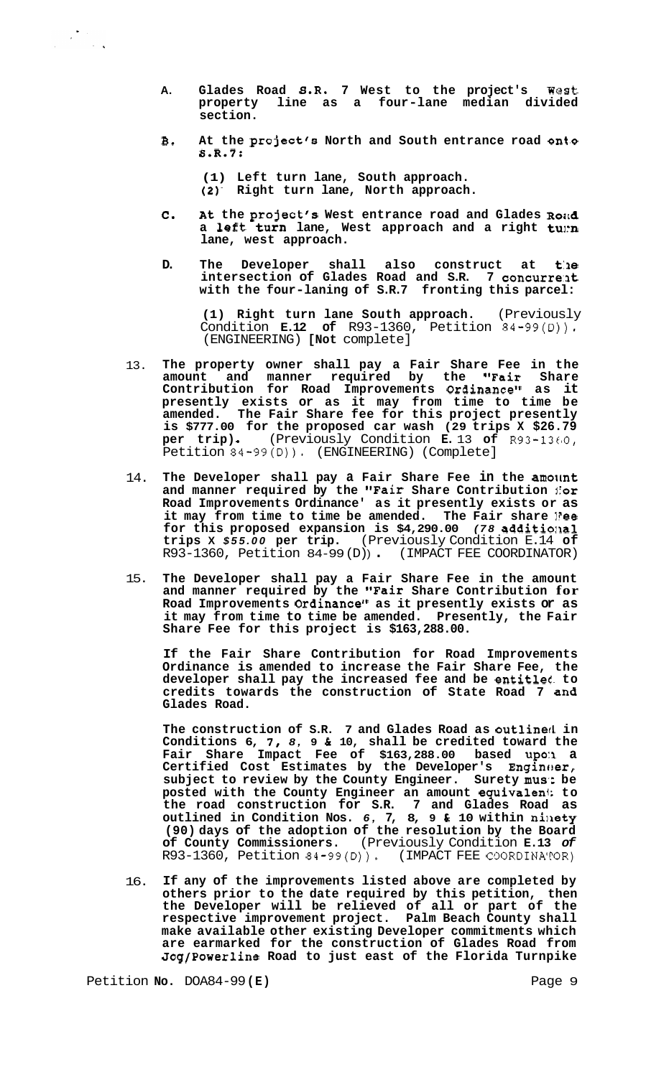- **A. Glades Road S.R. 7 West to the project's West property line as a four-lane median divided section.**
- **B. At the project's North and South entrance road ont.0 S.R.7:**

**(1) Left turn lane, South approach. (2)- Right turn lane, North approach.** 

- *C.* **At the project's West entrance road and Glades Ro;td**  a left turn lane, West approach and a right tumn **lane, west approach.**
- **D. The Developer shall also construct at t:ae intersection of Glades Road and S.R. 7 concurre:at with the four-laning of S.R.7 fronting this parcel:**

**(1) Right turn lane South approach.** (Previously Condition **E.12 of** R93-1360, Petition 84-99(D)). (ENGINEERING) **[Not** complete]

- 13. **The property owner shall pay a Fair Share Fee in the amount and manner required by the "Fair Share Contribution for Road Improvements Ordinance" as it presently exists or as it may from time to time be amended. The Fair Share fee for this project presently is \$777.00 for the proposed car wash (29 trips X \$26.79 per trip).** (Previously Condition **E.** 13 of  $R93-1360$ , Petition 84-99(D)). (ENGINEERING) (Complete]
- 14. The Developer shall pay a Fair Share Fee in the amount and manner required by the "Fair Share Contribution *for* **Road Improvements Ordinance' as it presently exists or as it may from time to time be amended. The Fair share l?ee for this proposed expansion is \$4,290.00** *(78* **additiollal trips X** *\$55.00* **per trip.** (Previously Condition E.14 **of**  R93-1360, Petition 84-99 (D) ) . (IMPACT FEE COORDINATOR)
- 15. **The Developer shall pay a Fair Share Fee in the amount and manner required by the "Fair Share Contribution for Road Improvements Ordinance" as it presently exists or as it may from time to time be amended. Presently, the Fair Share Fee for this project is \$163,288.00.**

**If the Fair Share Contribution for Road Improvements Ordinance is amended to increase the Fair Share Fee, the developer shall pay the increased fee and be entitlet. to credits towards the construction of State Road 7 an8 Glades Road.** 

**The construction of S.R. 7 and Glades Road as outlinetl in Conditions 6, 7,** *8,* **9** *h* **10, shall be credited toward the Fair Share Impact Fee of \$163,288.00 based upo:1 a Certified Cost Estimates by the Developer's Enginc!er, subject to review by the County Engineer. Surety mus': be posted with the County Engineer an amount equivaleni; to the road construction for S.R. 7 and Glades Road as outlined in Condition Nos.** *6,* **7, 8, 9** *SI* **10 within nillety (90) days of the adoption of the resolution by the Board of County Commissioners.** (Previously Condition **E.13** *of*   $R93-1360$ , Petition  $84-99(D)$ .

16. **If any of the improvements listed above are completed by others prior to the date required by this petition, then the Developer will be relieved of all or part of the respective improvement project. Palm Beach County shall make available other existing Developer commitments which are earmarked for the construction of Glades Road from Jog/Powerline Road to just east of the Florida Turnpike** 

Petition **No.** DOA84-99 (E) **Page 9 Page 9**